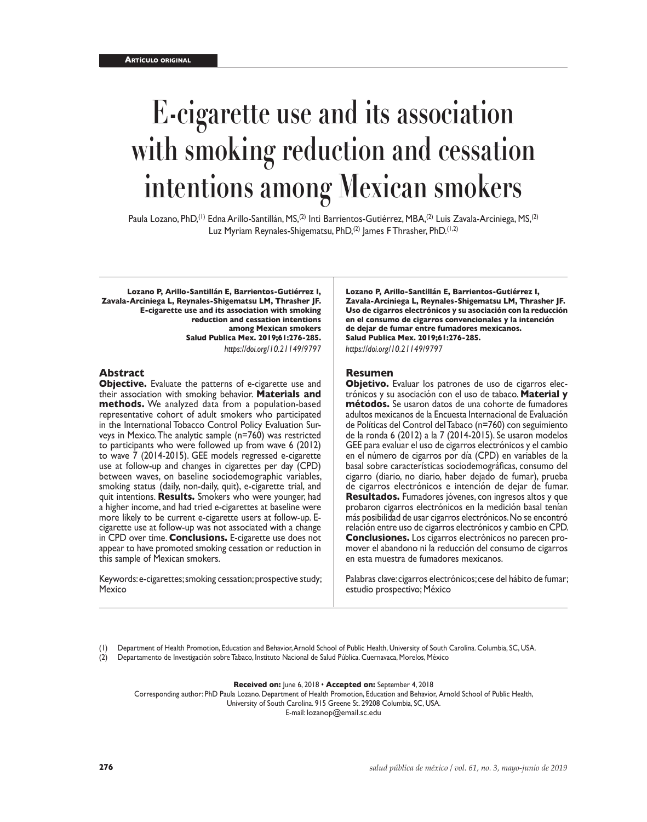# **E-cigarette use and its association with smoking reduction and cessation intentions among Mexican smokers**

Paula Lozano, PhD,<sup>(1)</sup> Edna Arillo-Santillán, MS,<sup>(2)</sup> Inti Barrientos-Gutiérrez, MBA,<sup>(2)</sup> Luis Zavala-Arciniega, MS,<sup>(2)</sup> Luz Myriam Reynales-Shigematsu, PhD, $(2)$  James F Thrasher, PhD. $(1,2)$ 

**Lozano P, Arillo-Santillán E, Barrientos-Gutiérrez I, Zavala-Arciniega L, Reynales-Shigematsu LM, Thrasher JF. E-cigarette use and its association with smoking reduction and cessation intentions among Mexican smokers Salud Publica Mex. 2019;61:276-285.** *https://doi.org/10.21149/9797*

## **Abstract**

**Objective.** Evaluate the patterns of e-cigarette use and their association with smoking behavior. **Materials and methods.** We analyzed data from a population-based representative cohort of adult smokers who participated in the International Tobacco Control Policy Evaluation Sur veys in Mexico. The analytic sample (n=760) was restricted to participants who were followed up from wave 6 (2012) to wave 7 (2014-2015). GEE models regressed e-cigarette use at follow-up and changes in cigarettes per day (CPD) between waves, on baseline sociodemographic variables, smoking status (daily, non-daily, quit), e-cigarette trial, and quit intentions. **Results.** Smokers who were younger, had a higher income, and had tried e-cigarettes at baseline were more likely to be current e-cigarette users at follow-up. Ecigarette use at follow-up was not associated with a change in CPD over time. **Conclusions.** E-cigarette use does not appear to have promoted smoking cessation or reduction in this sample of Mexican smokers.

Keywords: e-cigarettes; smoking cessation; prospective study; Mexico

**Lozano P, Arillo-Santillán E, Barrientos-Gutiérrez I, Zavala-Arciniega L, Reynales-Shigematsu LM, Thrasher JF. Uso de cigarros electrónicos y su asociación con la reducción en el consumo de cigarros convencionales y la intención de dejar de fumar entre fumadores mexicanos. Salud Publica Mex. 2019;61:276-285.** *https://doi.org/10.21149/9797*

#### **Resumen**

**Objetivo.** Evaluar los patrones de uso de cigarros elec trónicos y su asociación con el uso de tabaco. **Material y métodos.** Se usaron datos de una cohorte de fumadores adultos mexicanos de la Encuesta Internacional de Evaluación de Políticas del Control del Tabaco (n=760) con seguimiento de la ronda 6 (2012) a la 7 (2014-2015). Se usaron modelos GEE para evaluar el uso de cigarros electrónicos y el cambio en el número de cigarros por día (CPD) en variables de la basal sobre características sociodemográficas, consumo del cigarro (diario, no diario, haber dejado de fumar), prueba de cigarros electrónicos e intención de dejar de fumar. **Resultados.** Fumadores jóvenes, con ingresos altos y que probaron cigarros electrónicos en la medición basal tenían más posibilidad de usar cigarros electrónicos. No se encontró relación entre uso de cigarros electrónicos y cambio en CPD. **Conclusiones.** Los cigarros electrónicos no parecen promover el abandono ni la reducción del consumo de cigarros en esta muestra de fumadores mexicanos.

Palabras clave: cigarros electrónicos; cese del hábito de fumar; estudio prospectivo; México

(1) Department of Health Promotion, Education and Behavior, Arnold School of Public Health, University of South Carolina. Columbia, SC, USA.

(2) Departamento de Investigación sobre Tabaco, Instituto Nacional de Salud Pública. Cuernavaca, Morelos, México

**Received on:** June 6, 2018 • **Accepted on:** September 4, 2018

Corresponding author: PhD Paula Lozano. Department of Health Promotion, Education and Behavior, Arnold School of Public Health, University of South Carolina. 915 Greene St. 29208 Columbia, SC, USA. E-mail: [lozanop@email.sc.edu](mailto:lozanop@sc.edu)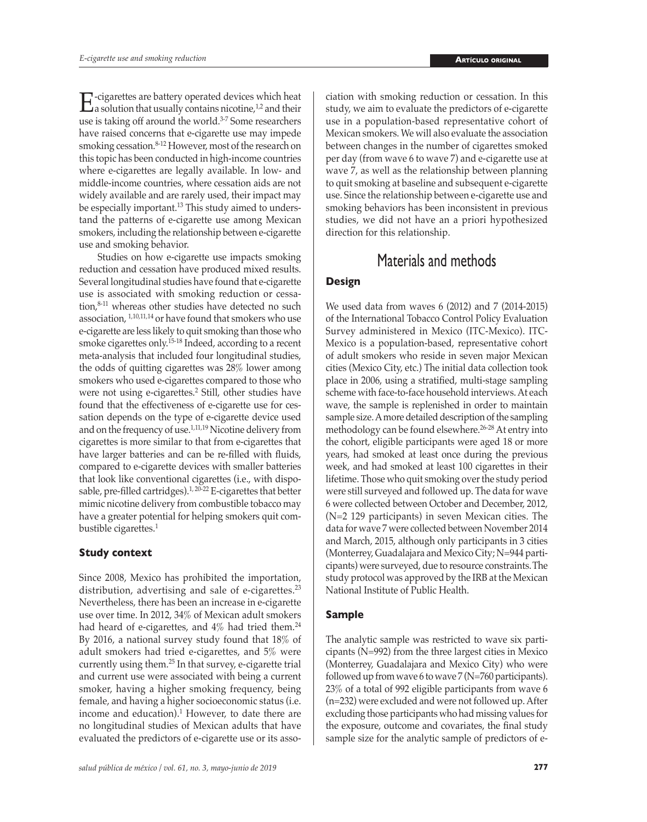$\Gamma$ -cigarettes are battery operated devices which heat a solution that usually contains nicotine,<sup>1,2</sup> and their use is taking off around the world.<sup>3-7</sup> Some researchers have raised concerns that e-cigarette use may impede smoking cessation.<sup>8-12</sup> However, most of the research on this topic has been conducted in high-income countries where e-cigarettes are legally available. In low- and middle-income countries, where cessation aids are not widely available and are rarely used, their impact may be especially important.<sup>13</sup> This study aimed to understand the patterns of e-cigarette use among Mexican smokers, including the relationship between e-cigarette use and smoking behavior.

Studies on how e-cigarette use impacts smoking reduction and cessation have produced mixed results. Several longitudinal studies have found that e-cigarette use is associated with smoking reduction or cessation,<sup>8-11</sup> whereas other studies have detected no such association, 1,10,11,14 or have found that smokers who use e-cigarette are less likely to quit smoking than those who smoke cigarettes only.15-18 Indeed, according to a recent meta-analysis that included four longitudinal studies, the odds of quitting cigarettes was 28% lower among smokers who used e-cigarettes compared to those who were not using e-cigarettes.<sup>2</sup> Still, other studies have found that the effectiveness of e-cigarette use for cessation depends on the type of e-cigarette device used and on the frequency of use.1,11,19 Nicotine delivery from cigarettes is more similar to that from e-cigarettes that have larger batteries and can be re-filled with fluids, compared to e-cigarette devices with smaller batteries that look like conventional cigarettes (i.e., with disposable, pre-filled cartridges).1, 20-22 E-cigarettes that better mimic nicotine delivery from combustible tobacco may have a greater potential for helping smokers quit combustible cigarettes.<sup>1</sup>

## **Study context**

Since 2008, Mexico has prohibited the importation, distribution, advertising and sale of e-cigarettes.<sup>23</sup> Nevertheless, there has been an increase in e-cigarette use over time. In 2012, 34% of Mexican adult smokers had heard of e-cigarettes, and  $4\%$  had tried them.<sup>24</sup> By 2016, a national survey study found that 18% of adult smokers had tried e-cigarettes, and 5% were currently using them.25 In that survey, e-cigarette trial and current use were associated with being a current smoker, having a higher smoking frequency, being female, and having a higher socioeconomic status (i.e. income and education).<sup>1</sup> However, to date there are no longitudinal studies of Mexican adults that have evaluated the predictors of e-cigarette use or its association with smoking reduction or cessation. In this study, we aim to evaluate the predictors of e-cigarette use in a population-based representative cohort of Mexican smokers. We will also evaluate the association between changes in the number of cigarettes smoked per day (from wave 6 to wave 7) and e-cigarette use at wave 7, as well as the relationship between planning to quit smoking at baseline and subsequent e-cigarette use. Since the relationship between e-cigarette use and smoking behaviors has been inconsistent in previous studies, we did not have an a priori hypothesized direction for this relationship.

# Materials and methods

# **Design**

We used data from waves 6 (2012) and 7 (2014-2015) of the International Tobacco Control Policy Evaluation Survey administered in Mexico (ITC-Mexico). ITC-Mexico is a population-based, representative cohort of adult smokers who reside in seven major Mexican cities (Mexico City, etc.) The initial data collection took place in 2006, using a stratified, multi-stage sampling scheme with face-to-face household interviews. At each wave, the sample is replenished in order to maintain sample size. A more detailed description of the sampling methodology can be found elsewhere.<sup>26-28</sup> At entry into the cohort, eligible participants were aged 18 or more years, had smoked at least once during the previous week, and had smoked at least 100 cigarettes in their lifetime. Those who quit smoking over the study period were still surveyed and followed up. The data for wave 6 were collected between October and December, 2012, (N=2 129 participants) in seven Mexican cities. The data for wave 7 were collected between November 2014 and March, 2015, although only participants in 3 cities (Monterrey, Guadalajara and Mexico City; N=944 participants) were surveyed, due to resource constraints.The study protocol was approved by the IRB at the Mexican National Institute of Public Health.

# **Sample**

The analytic sample was restricted to wave six participants (N=992) from the three largest cities in Mexico (Monterrey, Guadalajara and Mexico City) who were followed up from wave 6 to wave 7 ( $N=760$  participants). 23% of a total of 992 eligible participants from wave 6 (n=232) were excluded and were not followed up. After excluding those participants who had missing values for the exposure, outcome and covariates, the final study sample size for the analytic sample of predictors of e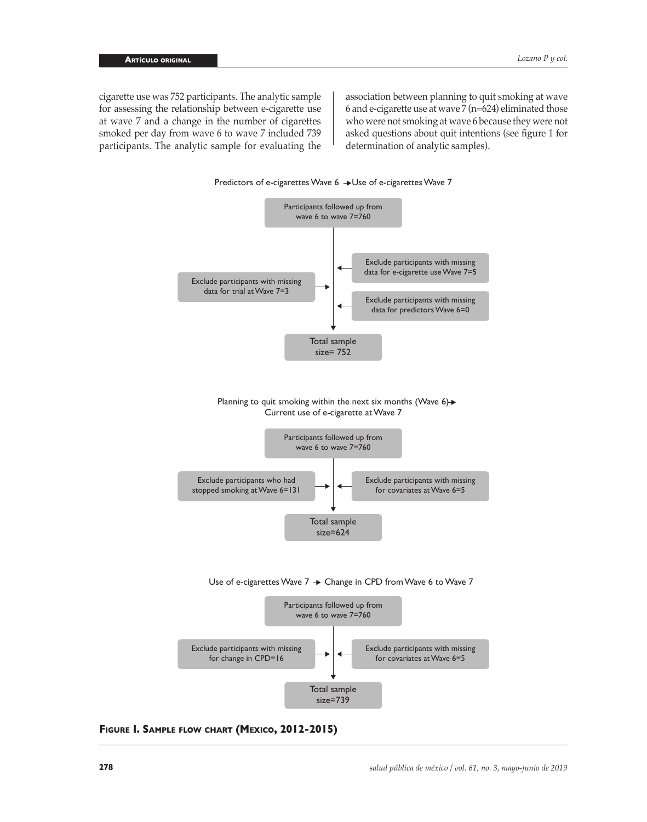cigarette use was 752 participants. The analytic sample for assessing the relationship between e-cigarette use at wave 7 and a change in the number of cigarettes smoked per day from wave 6 to wave 7 included 739 participants. The analytic sample for evaluating the

association between planning to quit smoking at wave 6 and e-cigarette use at wave 7 (n=624) eliminated those who were not smoking at wave 6 because they were not asked questions about quit intentions (see figure 1 for determination of analytic samples).



**Figure I. Sample flow chart (Mexico, 2012-2015)**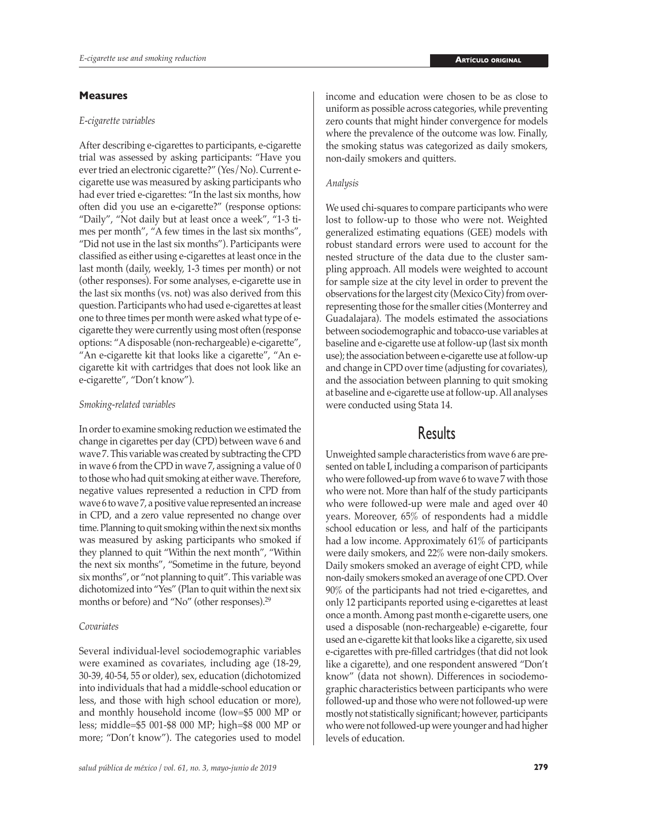## **Measures**

## *E-cigarette variables*

After describing e-cigarettes to participants, e-cigarette trial was assessed by asking participants: "Have you ever tried an electronic cigarette?" (Yes/No). Current ecigarette use was measured by asking participants who had ever tried e-cigarettes: "In the last six months, how often did you use an e-cigarette?" (response options: "Daily", "Not daily but at least once a week", "1-3 times per month", "A few times in the last six months", "Did not use in the last six months"). Participants were classified as either using e-cigarettes at least once in the last month (daily, weekly, 1-3 times per month) or not (other responses). For some analyses, e-cigarette use in the last six months (vs. not) was also derived from this question. Participants who had used e-cigarettes at least one to three times per month were asked what type of ecigarette they were currently using most often (response options: "A disposable (non-rechargeable) e-cigarette", "An e-cigarette kit that looks like a cigarette", "An ecigarette kit with cartridges that does not look like an e-cigarette", "Don't know").

### *Smoking-related variables*

In order to examine smoking reduction we estimated the change in cigarettes per day (CPD) between wave 6 and wave 7. This variable was created by subtracting the CPD in wave 6 from the CPD in wave 7, assigning a value of 0 to those who had quit smoking at either wave. Therefore, negative values represented a reduction in CPD from wave 6 to wave 7, a positive value represented an increase in CPD, and a zero value represented no change over time. Planning to quit smoking within the next six months was measured by asking participants who smoked if they planned to quit "Within the next month", "Within the next six months", "Sometime in the future, beyond six months", or "not planning to quit". This variable was dichotomized into "Yes" (Plan to quit within the next six months or before) and "No" (other responses).<sup>29</sup>

## *Covariates*

Several individual-level sociodemographic variables were examined as covariates, including age (18-29, 30-39, 40-54, 55 or older), sex, education (dichotomized into individuals that had a middle-school education or less, and those with high school education or more), and monthly household income (low=\$5 000 MP or less; middle=\$5 001-\$8 000 MP; high=\$8 000 MP or more; "Don't know"). The categories used to model income and education were chosen to be as close to uniform as possible across categories, while preventing zero counts that might hinder convergence for models where the prevalence of the outcome was low. Finally, the smoking status was categorized as daily smokers, non-daily smokers and quitters.

## *Analysis*

We used chi-squares to compare participants who were lost to follow-up to those who were not. Weighted generalized estimating equations (GEE) models with robust standard errors were used to account for the nested structure of the data due to the cluster sampling approach. All models were weighted to account for sample size at the city level in order to prevent the observations for the largest city (Mexico City) from overrepresenting those for the smaller cities (Monterrey and Guadalajara). The models estimated the associations between sociodemographic and tobacco-use variables at baseline and e-cigarette use at follow-up (last six month use); the association between e-cigarette use at follow-up and change in CPD over time (adjusting for covariates), and the association between planning to quit smoking at baseline and e-cigarette use at follow-up. All analyses were conducted using Stata 14.

# **Results**

Unweighted sample characteristics from wave 6 are presented on table I, including a comparison of participants who were followed-up from wave 6 to wave 7 with those who were not. More than half of the study participants who were followed-up were male and aged over 40 years. Moreover, 65% of respondents had a middle school education or less, and half of the participants had a low income. Approximately 61% of participants were daily smokers, and 22% were non-daily smokers. Daily smokers smoked an average of eight CPD, while non-daily smokers smoked an average of one CPD. Over 90% of the participants had not tried e-cigarettes, and only 12 participants reported using e-cigarettes at least once a month. Among past month e-cigarette users, one used a disposable (non-rechargeable) e-cigarette, four used an e-cigarette kit that looks like a cigarette, six used e-cigarettes with pre-filled cartridges (that did not look like a cigarette), and one respondent answered "Don't know" (data not shown). Differences in sociodemographic characteristics between participants who were followed-up and those who were not followed-up were mostly not statistically significant; however, participants who were not followed-up were younger and had higher levels of education.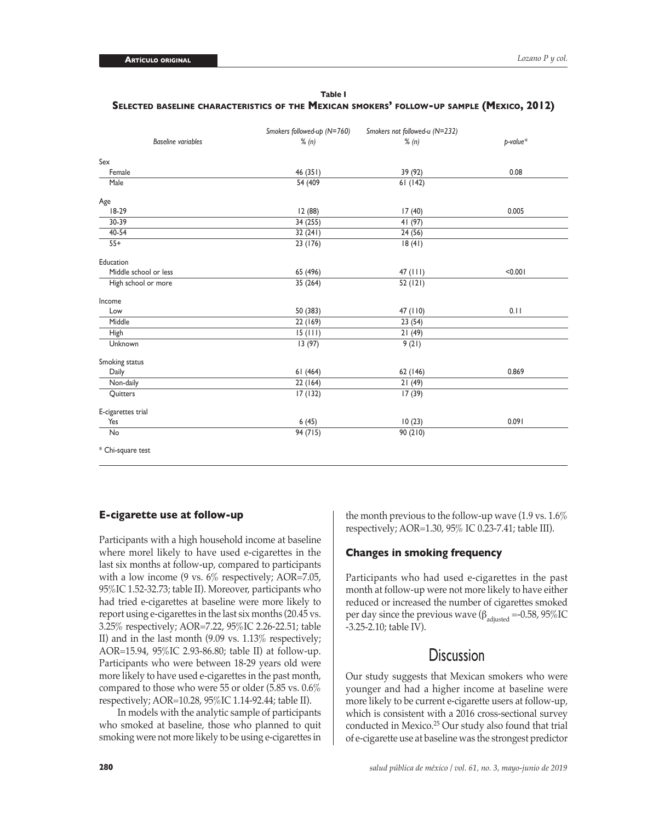# **Table I Selected baseline characteristics of the Mexican smokers' follow-up sample (Mexico, 2012)**

|                           | Smokers followed-up (N=760) | Smokers not followed-u (N=232) |             |
|---------------------------|-----------------------------|--------------------------------|-------------|
| <b>Baseline variables</b> | % (n)                       | % (n)                          | $p$ -value* |
| Sex                       |                             |                                |             |
| Female                    | 46 (351)                    | 39 (92)                        | 0.08        |
| Male                      | $\sqrt{54(409)}$            | 61(142)                        |             |
| Age                       |                             |                                |             |
| $18-29$                   | 12 (88)                     | 17(40)                         | 0.005       |
| 30-39                     | 34 (255)                    | 41(97)                         |             |
| $40 - 54$                 | 32(241)                     | 24(56)                         |             |
| $55+$                     | 23 (176)                    | 18(41)                         |             |
| Education                 |                             |                                |             |
| Middle school or less     | 65 (496)                    | 47 (111)                       | < 0.001     |
| High school or more       | 35 (264)                    | 52(121)                        |             |
| Income                    |                             |                                |             |
| Low                       | 50 (383)                    | 47 (110)                       | 0.11        |
| Middle                    | 22(169)                     | 23(54)                         |             |
| High                      | 15(111)                     | 21(49)                         |             |
| Unknown                   | 13(97)                      | 9(21)                          |             |
| Smoking status            |                             |                                |             |
| Daily                     | 61(464)                     | 62 (146)                       | 0.869       |
| Non-daily                 | 22 (164)                    | 21(49)                         |             |
| Quitters                  | 17(132)                     | 17(39)                         |             |
| E-cigarettes trial        |                             |                                |             |
| Yes                       | 6(45)                       | 10(23)                         | 0.091       |
| No                        | 94(715)                     | 90(210)                        |             |
| * Chi-square test         |                             |                                |             |

## **E-cigarette use at follow-up**

Participants with a high household income at baseline where morel likely to have used e-cigarettes in the last six months at follow-up, compared to participants with a low income (9 vs.  $6\%$  respectively; AOR=7.05, 95%IC 1.52-32.73; table II). Moreover, participants who had tried e-cigarettes at baseline were more likely to report using e-cigarettes in the last six months (20.45 vs. 3.25% respectively; AOR=7.22, 95%IC 2.26-22.51; table II) and in the last month (9.09 vs. 1.13% respectively; AOR=15.94, 95%IC 2.93-86.80; table II) at follow-up. Participants who were between 18-29 years old were more likely to have used e-cigarettes in the past month, compared to those who were 55 or older (5.85 vs. 0.6% respectively; AOR=10.28, 95%IC 1.14-92.44; table II).

In models with the analytic sample of participants who smoked at baseline, those who planned to quit smoking were not more likely to be using e-cigarettes in

the month previous to the follow-up wave (1.9 vs. 1.6% respectively; AOR=1.30, 95% IC 0.23-7.41; table III).

## **Changes in smoking frequency**

Participants who had used e-cigarettes in the past month at follow-up were not more likely to have either reduced or increased the number of cigarettes smoked per day since the previous wave ( $β_{\text{adjusted}} = -0.58, 95\%$ IC -3.25-2.10; table IV).

# **Discussion**

Our study suggests that Mexican smokers who were younger and had a higher income at baseline were more likely to be current e-cigarette users at follow-up, which is consistent with a 2016 cross-sectional survey conducted in Mexico.25 Our study also found that trial of e-cigarette use at baseline was the strongest predictor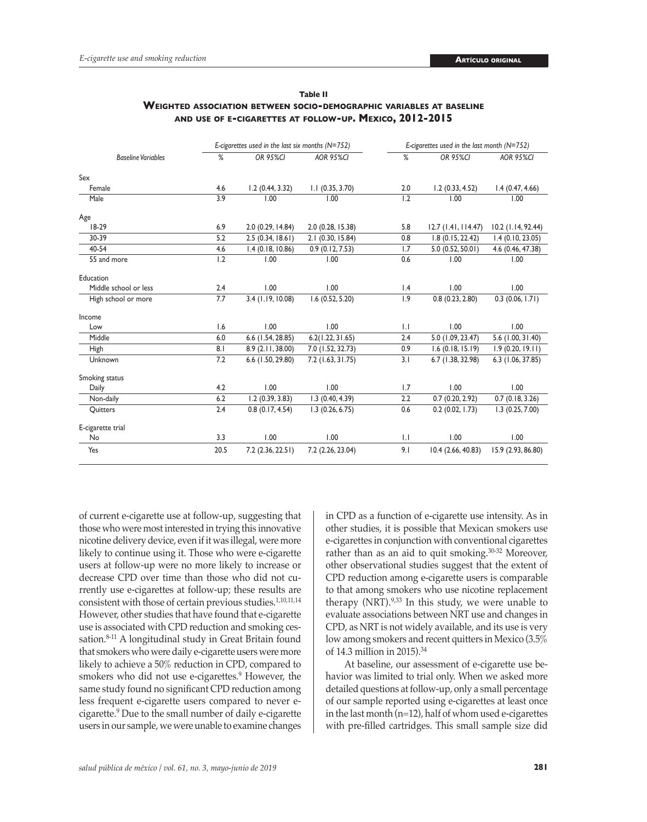|                           |      | E-cigarettes used in the last six months $(N=752)$ |                     |             | E-cigarettes used in the last month $(N=752)$ |                    |
|---------------------------|------|----------------------------------------------------|---------------------|-------------|-----------------------------------------------|--------------------|
| <b>Baseline Variables</b> | %    | <b>OR 95%CI</b>                                    | <b>AOR 95%CI</b>    | %           | <b>OR 95%CI</b>                               | <b>AOR 95%CI</b>   |
| Sex                       |      |                                                    |                     |             |                                               |                    |
| Female                    | 4.6  | 1.2(0.44, 3.32)                                    | $1.1$ (0.35, 3.70)  | 2.0         | 1.2(0.33, 4.52)                               | 1.4(0.47, 4.66)    |
| Male                      | 3.9  | 1.00                                               | 1.00                | 1.2         | 1.00                                          | 1.00               |
| Age                       |      |                                                    |                     |             |                                               |                    |
| $18-29$                   | 6.9  | 2.0 (0.29, 14.84)                                  | 2.0 (0.28, 15.38)   | 5.8         | $12.7$ (1.41, 114.47)                         | 10.2 (1.14, 92.44) |
| 30-39                     | 5.2  | 2.5(0.34, 18.61)                                   | 2.1 (0.30, 15.84)   | 0.8         | 1.8(0.15, 22.42)                              | 1.4(0.10, 23.05)   |
| 40-54                     | 4.6  | 1.4(0.18, 10.86)                                   | 0.9(0.12, 7.53)     | 1.7         | 5.0 (0.52, 50.01)                             | 4.6 (0.46, 47.38)  |
| 55 and more               | 1.2  | 1.00                                               | 1.00                | 0.6         | 1.00                                          | 1.00               |
| Education                 |      |                                                    |                     |             |                                               |                    |
| Middle school or less     | 2.4  | 1.00                                               | 1.00                | 1.4         | 1.00                                          | 1.00               |
| High school or more       | 7.7  | $3.4$ (1.19, 10.08)                                | $1.6$ (0.52, 5.20)  | 1.9         | 0.8(0.23, 2.80)                               | 0.3(0.06, 1.71)    |
| Income                    |      |                                                    |                     |             |                                               |                    |
| Low                       | 1.6  | 1.00                                               | 1.00                | $  \cdot  $ | 1.00                                          | 1.00               |
| Middle                    | 6.0  | 6.6 (1.54, 28.85)                                  | 6.2(1.22, 31.65)    | 2.4         | 5.0 (1.09, 23.47)                             | 5.6 (1.00, 31.40)  |
| High                      | 8.1  | 8.9 (2.11, 38.00)                                  | 7.0 (1.52, 32.73)   | 0.9         | $1.6$ (0.18, 15.19)                           | 1.9(0.20, 19.11)   |
| Unknown                   | 7.2  | 6.6 (1.50, 29.80)                                  | $7.2$ (1.63, 31.75) | 3.1         | 6.7 (1.38, 32.98)                             | 6.3 (1.06, 37.85)  |
| Smoking status            |      |                                                    |                     |             |                                               |                    |
| Daily                     | 4.2  | 1.00                                               | 1.00                | 1.7         | 1.00                                          | 1.00               |
| Non-daily                 | 6.2  | 1.2(0.39, 3.83)                                    | 1.3(0.40, 4.39)     | 2.2         | 0.7(0.20, 2.92)                               | 0.7(0.18, 3.26)    |
| Quitters                  | 2.4  | 0.8(0.17, 4.54)                                    | 1.3(0.26, 6.75)     | 0.6         | 0.2(0.02, 1.73)                               | 1.3(0.25, 7.00)    |
| E-cigarette trial         |      |                                                    |                     |             |                                               |                    |
| No                        | 3.3  | 1.00                                               | 1.00                | $  \cdot  $ | 1.00                                          | 1.00               |
| Yes                       | 20.5 | 7.2(2.36, 22.51)                                   | 7.2 (2.26, 23.04)   | 9.1         | 10.4(2.66, 40.83)                             | 15.9 (2.93, 86.80) |

**Table II Weighted association between socio-demographic variables at baseline and use of e-cigarettes at follow-up. Mexico, 2012-2015**

of current e-cigarette use at follow-up, suggesting that those who were most interested in trying this innovative nicotine delivery device, even if it was illegal, were more likely to continue using it. Those who were e-cigarette users at follow-up were no more likely to increase or decrease CPD over time than those who did not currently use e-cigarettes at follow-up; these results are consistent with those of certain previous studies.1,10,11,14 However, other studies that have found that e-cigarette use is associated with CPD reduction and smoking cessation.<sup>8-11</sup> A longitudinal study in Great Britain found that smokers who were daily e-cigarette users were more likely to achieve a 50% reduction in CPD, compared to smokers who did not use e-cigarettes.<sup>9</sup> However, the same study found no significant CPD reduction among less frequent e-cigarette users compared to never ecigarette.<sup>9</sup> Due to the small number of daily e-cigarette users in our sample, we were unable to examine changes

in CPD as a function of e-cigarette use intensity. As in other studies, it is possible that Mexican smokers use e-cigarettes in conjunction with conventional cigarettes rather than as an aid to quit smoking.<sup>30-32</sup> Moreover, other observational studies suggest that the extent of CPD reduction among e-cigarette users is comparable to that among smokers who use nicotine replacement therapy  $(NRT)$ .<sup>9,33</sup> In this study, we were unable to evaluate associations between NRT use and changes in CPD, as NRT is not widely available, and its use is very low among smokers and recent quitters in Mexico (3.5% of 14.3 million in 2015).<sup>34</sup>

At baseline, our assessment of e-cigarette use behavior was limited to trial only. When we asked more detailed questions at follow-up, only a small percentage of our sample reported using e-cigarettes at least once in the last month (n=12), half of whom used e-cigarettes with pre-filled cartridges. This small sample size did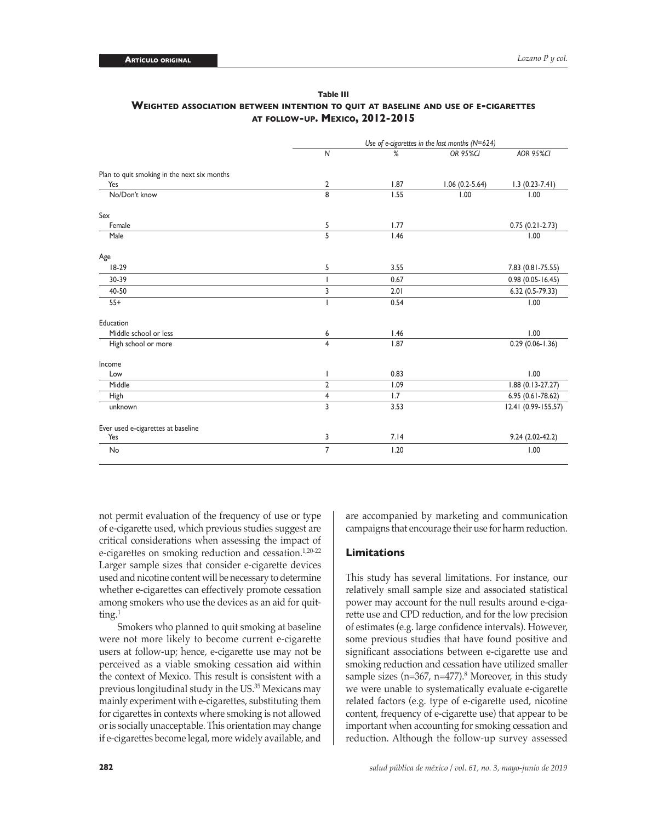| Table III                                                                          |
|------------------------------------------------------------------------------------|
| WEIGHTED ASSOCIATION BETWEEN INTENTION TO QUIT AT BASELINE AND USE OF E-CIGARETTES |
| <b>AT FOLLOW-UP. MEXICO, 2012-2015</b>                                             |

|                                             |                | Use of e-cigarettes in the last months $(N=624)$ |                  |                      |
|---------------------------------------------|----------------|--------------------------------------------------|------------------|----------------------|
|                                             | $\mathsf{N}$   | %                                                | OR 95%CI         | <b>AOR 95%CI</b>     |
| Plan to quit smoking in the next six months |                |                                                  |                  |                      |
| Yes                                         | $\overline{2}$ | 1.87                                             | $1.06(0.2-5.64)$ | $1.3(0.23 - 7.41)$   |
| No/Don't know                               | 8              | 1.55                                             | 1.00             | 1.00                 |
| Sex                                         |                |                                                  |                  |                      |
| Female                                      | 5              | 1.77                                             |                  | $0.75(0.21-2.73)$    |
| Male                                        | $\overline{5}$ | 1.46                                             |                  | 1.00                 |
| Age                                         |                |                                                  |                  |                      |
| $18-29$                                     | 5              | 3.55                                             |                  | 7.83 (0.81-75.55)    |
| 30-39                                       | I              | 0.67                                             |                  | $0.98(0.05 - 16.45)$ |
| 40-50                                       | 3              | 2.01                                             |                  | 6.32 (0.5-79.33)     |
| $55+$                                       |                | 0.54                                             |                  | 1.00                 |
| Education                                   |                |                                                  |                  |                      |
| Middle school or less                       | 6              | 1.46                                             |                  | 1.00                 |
| High school or more                         | $\overline{4}$ | 1.87                                             |                  | $0.29(0.06 - 1.36)$  |
| Income                                      |                |                                                  |                  |                      |
| Low                                         | I              | 0.83                                             |                  | 1.00                 |
| Middle                                      | $\sqrt{2}$     | 1.09                                             |                  | $1.88(0.13 - 27.27)$ |
| High                                        | 4              | 1.7                                              |                  | $6.95(0.61 - 78.62)$ |
| unknown                                     | 3              | 3.53                                             |                  | 12.41 (0.99-155.57)  |
| Ever used e-cigarettes at baseline          |                |                                                  |                  |                      |
| Yes                                         | 3              | 7.14                                             |                  | $9.24(2.02-42.2)$    |
| No                                          | $\overline{7}$ | 1.20                                             |                  | 1.00                 |

not permit evaluation of the frequency of use or type of e-cigarette used, which previous studies suggest are critical considerations when assessing the impact of e-cigarettes on smoking reduction and cessation.<sup>1,20-22</sup> Larger sample sizes that consider e-cigarette devices used and nicotine content will be necessary to determine whether e-cigarettes can effectively promote cessation among smokers who use the devices as an aid for quitting.<sup>1</sup>

Smokers who planned to quit smoking at baseline were not more likely to become current e-cigarette users at follow-up; hence, e-cigarette use may not be perceived as a viable smoking cessation aid within the context of Mexico. This result is consistent with a previous longitudinal study in the US.<sup>35</sup> Mexicans may mainly experiment with e-cigarettes, substituting them for cigarettes in contexts where smoking is not allowed or is socially unacceptable. This orientation may change if e-cigarettes become legal, more widely available, and

are accompanied by marketing and communication campaigns that encourage their use for harm reduction.

#### **Limitations**

This study has several limitations. For instance, our relatively small sample size and associated statistical power may account for the null results around e-cigarette use and CPD reduction, and for the low precision of estimates (e.g. large confidence intervals). However, some previous studies that have found positive and significant associations between e-cigarette use and smoking reduction and cessation have utilized smaller sample sizes ( $n=367$ ,  $n=477$ ).<sup>8</sup> Moreover, in this study we were unable to systematically evaluate e-cigarette related factors (e.g. type of e-cigarette used, nicotine content, frequency of e-cigarette use) that appear to be important when accounting for smoking cessation and reduction. Although the follow-up survey assessed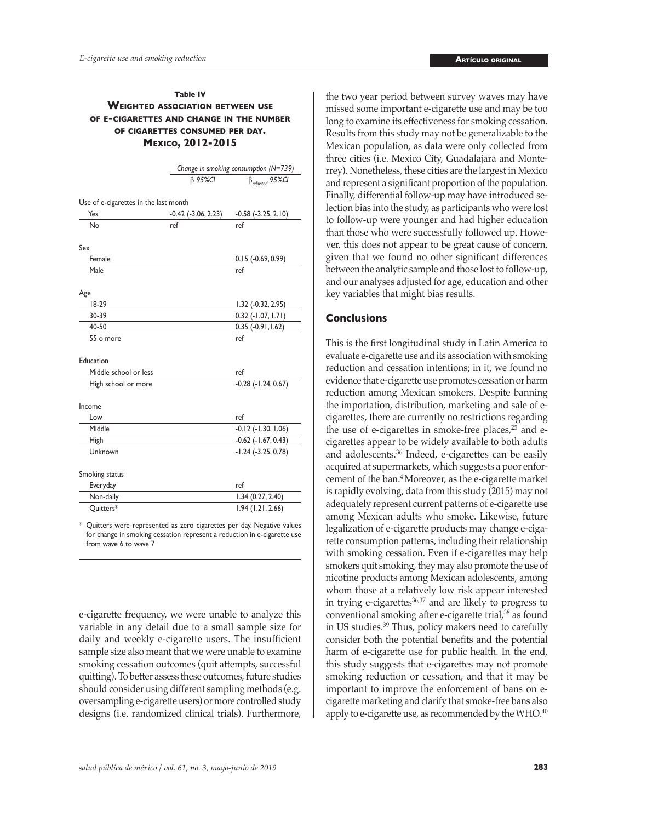## **Table IV Weighted association between use of e-cigarettes and change in the number of cigarettes consumed per day. Mexico, 2012-2015**

|                                       | Change in smoking consumption (N=739) |                                   |
|---------------------------------------|---------------------------------------|-----------------------------------|
|                                       | <b>β95%CI</b>                         | $\beta_{\textit{adjusted}}$ 95%Cl |
| Use of e-cigarettes in the last month |                                       |                                   |
| Yes                                   | $-0.42$ $(-3.06, 2.23)$               | $-0.58$ $(-3.25, 2.10)$           |
| N٥                                    | ref                                   | ref                               |
| Sex                                   |                                       |                                   |
| Female                                |                                       | $0.15$ ( $-0.69, 0.99$ )          |
| Male                                  |                                       | ref                               |
| Age                                   |                                       |                                   |
| $18-29$                               |                                       | 1.32 (-0.32, 2.95)                |
| 30-39                                 |                                       | $0.32$ ( $-1.07$ , $1.71$ )       |
| 40-50                                 |                                       | $0.35(-0.91, 1.62)$               |
| 55 o more                             |                                       | ref                               |
| Education                             |                                       |                                   |
| Middle school or less                 |                                       | ref                               |
| High school or more                   |                                       | $-0.28$ $(-1.24, 0.67)$           |
| Income                                |                                       |                                   |
| Low                                   |                                       | ref                               |
| Middle                                |                                       | $-0.12$ $(-1.30, 1.06)$           |
| High                                  |                                       | $-0.62$ $(-1.67, 0.43)$           |
| Unknown                               |                                       | $-1.24$ $(-3.25, 0.78)$           |
| Smoking status                        |                                       |                                   |
| Everyday                              |                                       | ref                               |
| Non-daily                             |                                       | 1.34 (0.27, 2.40)                 |
| Quitters*                             |                                       | 1.94(1.21, 2.66)                  |

\* Quitters were represented as zero cigarettes per day. Negative values for change in smoking cessation represent a reduction in e-cigarette use from wave 6 to wave 7

e-cigarette frequency, we were unable to analyze this variable in any detail due to a small sample size for daily and weekly e-cigarette users. The insufficient sample size also meant that we were unable to examine smoking cessation outcomes (quit attempts, successful quitting). To better assess these outcomes, future studies should consider using different sampling methods (e.g. oversampling e-cigarette users) or more controlled study designs (i.e. randomized clinical trials). Furthermore, the two year period between survey waves may have missed some important e-cigarette use and may be too long to examine its effectiveness for smoking cessation. Results from this study may not be generalizable to the Mexican population, as data were only collected from three cities (i.e. Mexico City, Guadalajara and Monterrey). Nonetheless, these cities are the largest in Mexico and represent a significant proportion of the population. Finally, differential follow-up may have introduced selection bias into the study, as participants who were lost to follow-up were younger and had higher education than those who were successfully followed up. However, this does not appear to be great cause of concern, given that we found no other significant differences between the analytic sample and those lost to follow-up, and our analyses adjusted for age, education and other key variables that might bias results.

# **Conclusions**

This is the first longitudinal study in Latin America to evaluate e-cigarette use and its association with smoking reduction and cessation intentions; in it, we found no evidence that e-cigarette use promotes cessation or harm reduction among Mexican smokers. Despite banning the importation, distribution, marketing and sale of ecigarettes, there are currently no restrictions regarding the use of e-cigarettes in smoke-free places,<sup>25</sup> and ecigarettes appear to be widely available to both adults and adolescents.36 Indeed, e-cigarettes can be easily acquired at supermarkets, which suggests a poor enforcement of the ban.4 Moreover, as the e-cigarette market is rapidly evolving, data from this study (2015) may not adequately represent current patterns of e-cigarette use among Mexican adults who smoke. Likewise, future legalization of e-cigarette products may change e-cigarette consumption patterns, including their relationship with smoking cessation. Even if e-cigarettes may help smokers quit smoking, they may also promote the use of nicotine products among Mexican adolescents, among whom those at a relatively low risk appear interested in trying e-cigarettes $36,37$  and are likely to progress to conventional smoking after e-cigarette trial,<sup>38</sup> as found in US studies.39 Thus, policy makers need to carefully consider both the potential benefits and the potential harm of e-cigarette use for public health. In the end, this study suggests that e-cigarettes may not promote smoking reduction or cessation, and that it may be important to improve the enforcement of bans on ecigarette marketing and clarify that smoke-free bans also apply to e-cigarette use, as recommended by the WHO.<sup>40</sup>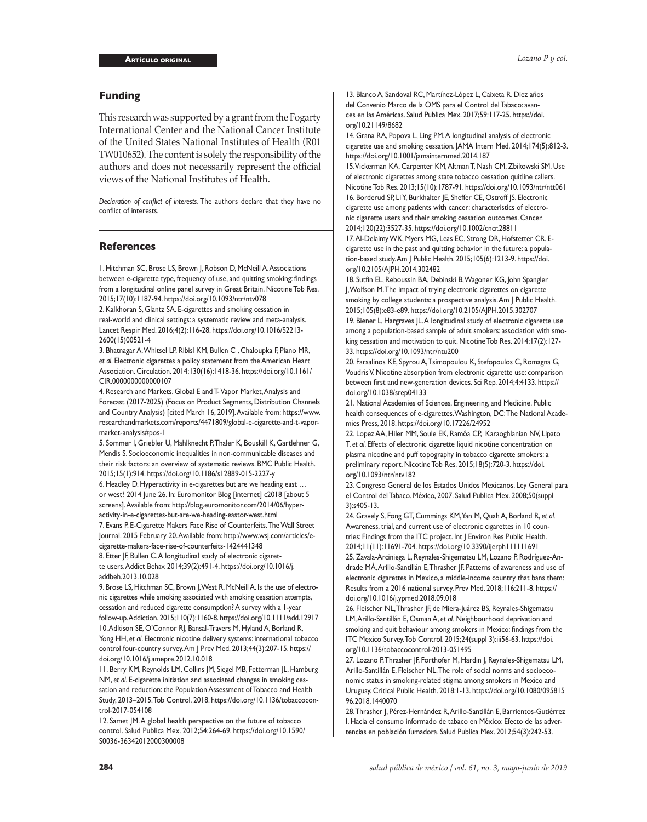## **Funding**

This research was supported by a grant from the Fogarty International Center and the National Cancer Institute of the United States National Institutes of Health (R01 TW010652). The content is solely the responsibility of the authors and does not necessarily represent the official views of the National Institutes of Health.

*Declaration of conflict of interests*. The authors declare that they have no conflict of interests.

## **References**

1. Hitchman SC, Brose LS, Brown J, Robson D, McNeill A. Associations between e-cigarette type, frequency of use, and quitting smoking: findings from a longitudinal online panel survey in Great Britain. Nicotine Tob Res. 2015;17(10):1187-94. <https://doi.org/10.1093/ntr/ntv078>

2. Kalkhoran S, Glantz SA. E-cigarettes and smoking cessation in real-world and clinical settings: a systematic review and meta-analysis. Lancet Respir Med. 2016;4(2):116-28. [https://doi.org/10.1016/S2213-](https://doi.org/10.1016/S2213-2600(15)00521-4) [2600\(15\)00521-4](https://doi.org/10.1016/S2213-2600(15)00521-4)

3. Bhatnagar A, Whitsel LP, Ribisl KM, Bullen C , Chaloupka F, Piano MR, *et al*. Electronic cigarettes a policy statement from the American Heart Association. Circulation. 2014;130(16):1418-36. [https://doi.org/10.1161/](https://doi.org/10.1161/CIR.0000000000000107) [CIR.0000000000000107](https://doi.org/10.1161/CIR.0000000000000107)

4. Research and Markets. Global E and T- Vapor Market, Analysis and Forecast (2017-2025) (Focus on Product Segments, Distribution Channels and Country Analysis) [cited March 16, 2019]. Available from: [https://www.](https://www.researchandmarkets.com/reports/4471809/global-e-cigarette-and-t-vapor-market-analysis#pos-1) [researchandmarkets.com/reports/4471809/global-e-cigarette-and-t-vapor](https://www.researchandmarkets.com/reports/4471809/global-e-cigarette-and-t-vapor-market-analysis#pos-1)[market-analysis#pos-1](https://www.researchandmarkets.com/reports/4471809/global-e-cigarette-and-t-vapor-market-analysis#pos-1)

5. Sommer I, Griebler U, Mahlknecht P, Thaler K, Bouskill K, Gartlehner G, Mendis S. Socioeconomic inequalities in non-communicable diseases and their risk factors: an overview of systematic reviews. BMC Public Health. 2015;15(1):914.<https://doi.org/10.1186/s12889-015-2227-y>

6. Headley D. Hyperactivity in e-cigarettes but are we heading east … or west? 2014 June 26. In: Euromonitor Blog [internet] c2018 [about 5 screens]. Available from: [http://blog.euromonitor.com/2014/06/hyper](http://blog.euromonitor.com/2014/06/hyper-activity-in-e-cigarettes-but-are-we-heading-eastor-west.html)[activity-in-e-cigarettes-but-are-we-heading-eastor-west.html](http://blog.euromonitor.com/2014/06/hyper-activity-in-e-cigarettes-but-are-we-heading-eastor-west.html)

7. Evans P. E-Cigarette Makers Face Rise of Counterfeits. The Wall Street Journal. 2015 February 20. Available from: [http://www.wsj.com/articles/e](http://www.wsj.com/articles/e-cigarette-makers-face-rise-of-counterfeits-1424441348)[cigarette-makers-face-rise-of-counterfeits-1424441348](http://www.wsj.com/articles/e-cigarette-makers-face-rise-of-counterfeits-1424441348)

8. Etter JF, Bullen C.A longitudinal study of electronic cigarette users. Addict Behav. 2014;39(2):491-4. [https://doi.org/10.1016/j.](https://doi.org/10.1016/j.addbeh.2013.10.028) [addbeh.2013.10.028](https://doi.org/10.1016/j.addbeh.2013.10.028)

9. Brose LS, Hitchman SC, Brown J, West R, McNeill A. Is the use of electronic cigarettes while smoking associated with smoking cessation attempts, cessation and reduced cigarette consumption? A survey with a 1-year follow-up. Addiction. 2015;110(7):1160-8. <https://doi.org/10.1111/add.12917> 10. Adkison SE, O'Connor RJ, Bansal-Travers M, Hyland A, Borland R, Yong HH, *et al*. Electronic nicotine delivery systems: international tobacco control four-country survey. Am J Prev Med. 2013;44(3):207-15. [https://](https://doi.org/10.1016/j.amepre.2012.10.018) [doi.org/10.1016/j.amepre.2012.10.018](https://doi.org/10.1016/j.amepre.2012.10.018)

11. Berry KM, Reynolds LM, Collins JM, Siegel MB, Fetterman JL, Hamburg NM, *et al*. E-cigarette initiation and associated changes in smoking cessation and reduction: the Population Assessment of Tobacco and Health Study, 2013–2015. Tob Control. 2018. [https://doi.org/10.1136/tobaccocon](https://doi.org/10.1136/tobaccocontrol-2017-054108)[trol-2017-054108](https://doi.org/10.1136/tobaccocontrol-2017-054108)

12. Samet JM. A global health perspective on the future of tobacco control. Salud Publica Mex. 2012;54:264-69. [https://doi.org/10.1590/](https://doi.org/10.1590/S0036-36342012000300008) [S0036-36342012000300008](https://doi.org/10.1590/S0036-36342012000300008)

13. Blanco A, Sandoval RC, Martínez-López L, Caixeta R. Diez años del Convenio Marco de la OMS para el Control del Tabaco: avances en las Américas. Salud Publica Mex. 2017;59:117-25. [https://doi.](https://doi.org/10.21149/8682) [org/10.21149/8682](https://doi.org/10.21149/8682)

14. Grana RA, Popova L, Ling PM. A longitudinal analysis of electronic cigarette use and smoking cessation. JAMA Intern Med. 2014;174(5):812-3. <https://doi.org/10.1001/jamainternmed.2014.187>

15. Vickerman KA, Carpenter KM, Altman T, Nash CM, Zbikowski SM. Use of electronic cigarettes among state tobacco cessation quitline callers. Nicotine Tob Res. 2013;15(10):1787-91. <https://doi.org/10.1093/ntr/ntt061> 16. Borderud SP, Li Y, Burkhalter JE, Sheffer CE, Ostroff JS. Electronic cigarette use among patients with cancer: characteristics of electronic cigarette users and their smoking cessation outcomes. Cancer. 2014;120(22):3527-35.<https://doi.org/10.1002/cncr.28811>

17. Al-Delaimy WK, Myers MG, Leas EC, Strong DR, Hofstetter CR. Ecigarette use in the past and quitting behavior in the future: a population-based study. Am J Public Health. 2015;105(6):1213-9. [https://doi.](https://doi.org/10.2105/AJPH.2014.302482) [org/10.2105/AJPH.2014.302482](https://doi.org/10.2105/AJPH.2014.302482)

18. Sutfin EL, Reboussin BA, Debinski B, Wagoner KG, John Spangler J, Wolfson M. The impact of trying electronic cigarettes on cigarette smoking by college students: a prospective analysis. Am J Public Health. 2015;105(8):e83-e89. <https://doi.org/10.2105/AJPH.2015.302707> 19. Biener L, Hargraves JL. A longitudinal study of electronic cigarette use among a population-based sample of adult smokers: association with smoking cessation and motivation to quit. Nicotine Tob Res. 2014;17(2):127- 33.<https://doi.org/10.1093/ntr/ntu200>

20. Farsalinos KE, Spyrou A, Tsimopoulou K, Stefopoulos C, Romagna G, Voudris V. Nicotine absorption from electronic cigarette use: comparison between first and new-generation devices. Sci Rep. 2014;4:4133. [https://](https://doi.org/10.1038/srep04133) [doi.org/10.1038/srep04133](https://doi.org/10.1038/srep04133)

21. National Academies of Sciences, Engineering, and Medicine. Public health consequences of e-cigarettes. Washington, DC: The National Academies Press, 2018.<https://doi.org/10.17226/24952>

22. Lopez AA, Hiler MM, Soule EK, Ramôa CP, Karaoghlanian NV, Lipato T, *et al*. Effects of electronic cigarette liquid nicotine concentration on plasma nicotine and puff topography in tobacco cigarette smokers: a preliminary report. Nicotine Tob Res. 2015;18(5):720-3. [https://doi.](https://doi.org/10.1093/ntr/ntv182) [org/10.1093/ntr/ntv182](https://doi.org/10.1093/ntr/ntv182)

23. Congreso General de los Estados Unidos Mexicanos. Ley General para el Control del Tabaco. México, 2007. Salud Publica Mex. 2008;50(suppl 3):s405-13.

24. Gravely S, Fong GT, Cummings KM, Yan M, Quah A, Borland R, *et al.*  Awareness, trial, and current use of electronic cigarettes in 10 countries: Findings from the ITC project. Int J Environ Res Public Health. 2014;11(11):11691-704.<https://doi.org/10.3390/ijerph111111691> 25. Zavala-Arciniega L, Reynales-Shigematsu LM, Lozano P, Rodríguez-Andrade MÁ, Arillo-Santillán E, Thrasher JF. Patterns of awareness and use of electronic cigarettes in Mexico, a middle-income country that bans them: Results from a 2016 national survey. Prev Med. 2018;116:211-8. [https://](https://doi.org/10.1016/j.ypmed.2018.09.018) [doi.org/10.1016/j.ypmed.2018.09.018](https://doi.org/10.1016/j.ypmed.2018.09.018)

26. Fleischer NL, Thrasher JF, de Miera-Juárez BS, Reynales-Shigematsu LM, Arillo-Santillán E, Osman A, *et al.* Neighbourhood deprivation and smoking and quit behaviour among smokers in Mexico: findings from the ITC Mexico Survey. Tob Control. 2015;24(suppl 3):iii56-63. [https://doi.](https://doi.org/10.1136/tobaccocontrol-2013-051495) [org/10.1136/tobaccocontrol-2013-051495](https://doi.org/10.1136/tobaccocontrol-2013-051495)

27. Lozano P, Thrasher JF, Forthofer M, Hardin J, Reynales-Shigematsu LM, Arillo-Santillán E, Fleischer NL. The role of social norms and socioeconomic status in smoking-related stigma among smokers in Mexico and Uruguay. Critical Public Health. 2018:1-13. [https://doi.org/10.1080/095815](https://doi.org/10.1080/09581596.2018.1440070) [96.2018.1440070](https://doi.org/10.1080/09581596.2018.1440070)

28. Thrasher J, Pérez-Hernández R, Arillo-Santillán E, Barrientos-Gutiérrez I. Hacia el consumo informado de tabaco en México: Efecto de las advertencias en población fumadora. Salud Publica Mex. 2012;54(3):242-53.